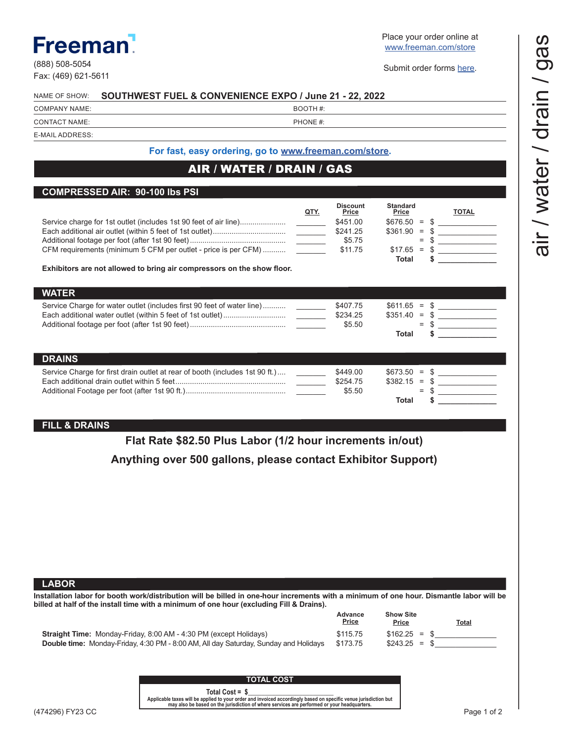## Freeman!

(888) 508-5054 Fax: (469) 621-5611 Place your order online at [www.freeman.com/store](https://www.freemanco.com/store?utm_source=Forms&utm_medium=PDF)

Submit order forms [here](mailto:ExhibitorSupport%40freeman.com?subject=Order%20Form%20Submission).

| COMPANY NAME:                                                                                                                                                                                                                                                                    | BOOTH#:       |                    |                      |    |                                                |
|----------------------------------------------------------------------------------------------------------------------------------------------------------------------------------------------------------------------------------------------------------------------------------|---------------|--------------------|----------------------|----|------------------------------------------------|
| CONTACT NAME:                                                                                                                                                                                                                                                                    | PHONE #:      |                    |                      |    |                                                |
| E-MAIL ADDRESS:                                                                                                                                                                                                                                                                  |               |                    |                      |    |                                                |
| For fast, easy ordering, go to www.freeman.com/store.                                                                                                                                                                                                                            |               |                    |                      |    |                                                |
| AIR / WATER / DRAIN / GAS                                                                                                                                                                                                                                                        |               |                    |                      |    |                                                |
|                                                                                                                                                                                                                                                                                  |               |                    |                      |    |                                                |
| <b>COMPRESSED AIR: 90-100 lbs PSI</b>                                                                                                                                                                                                                                            |               | <b>Discount</b>    | <b>Standard</b>      |    |                                                |
|                                                                                                                                                                                                                                                                                  | <u>QTY.</u>   | <b>Price</b>       | <b>Price</b>         |    | <b>TOTAL</b>                                   |
|                                                                                                                                                                                                                                                                                  |               | \$451.00           | $$676.50 = $$        |    | <u> The Communication</u>                      |
|                                                                                                                                                                                                                                                                                  |               | \$241.25<br>\$5.75 | $$361.90 = $$<br>$=$ | S  | <u>and the state of the state of the state</u> |
| CFM requirements (minimum 5 CFM per outlet - price is per CFM)                                                                                                                                                                                                                   |               | \$11.75            | $$17.65 =$           |    | <u> 1990 - Johann Barbara, martin a</u>        |
| Exhibitors are not allowed to bring air compressors on the show floor.                                                                                                                                                                                                           |               |                    | Total                |    |                                                |
|                                                                                                                                                                                                                                                                                  |               |                    |                      |    |                                                |
| <b>WATER</b>                                                                                                                                                                                                                                                                     |               |                    |                      |    |                                                |
| Service Charge for water outlet (includes first 90 feet of water line)                                                                                                                                                                                                           |               | \$407.75           | $$611.65 = $$        |    |                                                |
|                                                                                                                                                                                                                                                                                  |               | \$234.25<br>\$5.50 | $$351.40 = $$<br>$=$ |    |                                                |
|                                                                                                                                                                                                                                                                                  |               |                    | Total                |    |                                                |
|                                                                                                                                                                                                                                                                                  |               |                    |                      |    |                                                |
| <b>DRAINS</b>                                                                                                                                                                                                                                                                    |               |                    |                      |    |                                                |
| Service Charge for first drain outlet at rear of booth (includes 1st 90 ft.)                                                                                                                                                                                                     | $\frac{1}{2}$ | \$449.00           | $$673.50 = $$        |    |                                                |
|                                                                                                                                                                                                                                                                                  |               | \$254.75           |                      |    | $$382.15 = $$                                  |
|                                                                                                                                                                                                                                                                                  |               |                    |                      |    |                                                |
|                                                                                                                                                                                                                                                                                  |               | \$5.50             | $=$<br>Total         | \$ |                                                |
|                                                                                                                                                                                                                                                                                  |               |                    |                      |    |                                                |
|                                                                                                                                                                                                                                                                                  |               |                    |                      |    |                                                |
|                                                                                                                                                                                                                                                                                  |               |                    |                      |    |                                                |
| Flat Rate \$82.50 Plus Labor (1/2 hour increments in/out)                                                                                                                                                                                                                        |               |                    |                      |    |                                                |
| Anything over 500 gallons, please contact Exhibitor Support)                                                                                                                                                                                                                     |               |                    |                      |    |                                                |
|                                                                                                                                                                                                                                                                                  |               |                    |                      |    |                                                |
|                                                                                                                                                                                                                                                                                  |               |                    |                      |    |                                                |
|                                                                                                                                                                                                                                                                                  |               |                    |                      |    |                                                |
|                                                                                                                                                                                                                                                                                  |               |                    |                      |    |                                                |
|                                                                                                                                                                                                                                                                                  |               |                    |                      |    |                                                |
|                                                                                                                                                                                                                                                                                  |               |                    |                      |    |                                                |
|                                                                                                                                                                                                                                                                                  |               |                    |                      |    |                                                |
|                                                                                                                                                                                                                                                                                  |               |                    |                      |    |                                                |
|                                                                                                                                                                                                                                                                                  |               |                    |                      |    |                                                |
|                                                                                                                                                                                                                                                                                  |               |                    |                      |    |                                                |
|                                                                                                                                                                                                                                                                                  |               |                    |                      |    |                                                |
| <b>FILL &amp; DRAINS</b><br><b>LABOR</b><br>Installation labor for booth work/distribution will be billed in one-hour increments with a minimum of one hour. Dismantle labor will be<br>billed at half of the install time with a minimum of one hour (excluding Fill & Drains). |               | Advance            | <b>Show Site</b>     |    |                                                |
|                                                                                                                                                                                                                                                                                  |               | <b>Price</b>       | <b>Price</b>         |    | <u>Total</u>                                   |
|                                                                                                                                                                                                                                                                                  |               | \$115.75           | $$162.25 =$          |    |                                                |
| Straight Time: Monday-Friday, 8:00 AM - 4:30 PM (except Holidays)<br>Double time: Monday-Friday, 4:30 PM - 8:00 AM, All day Saturday, Sunday and Holidays                                                                                                                        |               | \$173.75           | $$243.25 =$          |    |                                                |
|                                                                                                                                                                                                                                                                                  |               |                    |                      |    |                                                |
|                                                                                                                                                                                                                                                                                  |               |                    |                      |    |                                                |
| <b>TOTAL COST</b><br>Total Cost = $$$                                                                                                                                                                                                                                            |               |                    |                      |    |                                                |

(474296) FY23 CC